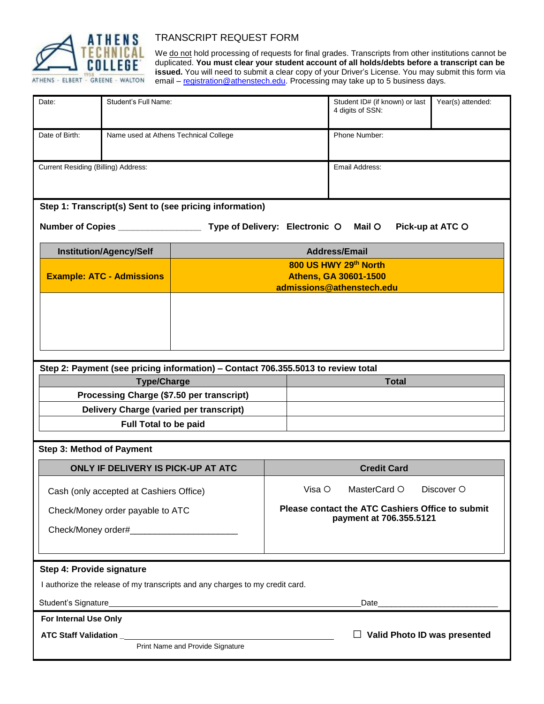

## TRANSCRIPT REQUEST FORM

We do not hold processing of requests for final grades. Transcripts from other institutions cannot be duplicated. **You must clear your student account of all holds/debts before a transcript can be issued.** You will need to submit a clear copy of your Driver's License. You may submit this form via email – [registration@athenstech.edu.](mailto:registration@athenstech.edu) Processing may take up to 5 business days.

| Date:                                                                                                                                                                                                                                                                                                                                                                                                                                                                    | Student's Full Name:                                                                 |                                                           |                    |              | Student ID# (if known) or last<br>4 digits of SSN:                          | Year(s) attended: |  |
|--------------------------------------------------------------------------------------------------------------------------------------------------------------------------------------------------------------------------------------------------------------------------------------------------------------------------------------------------------------------------------------------------------------------------------------------------------------------------|--------------------------------------------------------------------------------------|-----------------------------------------------------------|--------------------|--------------|-----------------------------------------------------------------------------|-------------------|--|
| Date of Birth:<br>Name used at Athens Technical College                                                                                                                                                                                                                                                                                                                                                                                                                  |                                                                                      |                                                           |                    |              | Phone Number:                                                               |                   |  |
| Current Residing (Billing) Address:                                                                                                                                                                                                                                                                                                                                                                                                                                      |                                                                                      |                                                           |                    |              | Email Address:                                                              |                   |  |
| Step 1: Transcript(s) Sent to (see pricing information)                                                                                                                                                                                                                                                                                                                                                                                                                  |                                                                                      |                                                           |                    |              |                                                                             |                   |  |
| Type of Delivery: Electronic O<br>Number of Copies _________________                                                                                                                                                                                                                                                                                                                                                                                                     |                                                                                      |                                                           |                    |              | Mail $\circ$                                                                | Pick-up at ATC O  |  |
| <b>Institution/Agency/Self</b>                                                                                                                                                                                                                                                                                                                                                                                                                                           |                                                                                      | <b>Address/Email</b>                                      |                    |              |                                                                             |                   |  |
|                                                                                                                                                                                                                                                                                                                                                                                                                                                                          |                                                                                      | 800 US HWY 29th North                                     |                    |              |                                                                             |                   |  |
| <b>Example: ATC - Admissions</b>                                                                                                                                                                                                                                                                                                                                                                                                                                         |                                                                                      | <b>Athens, GA 30601-1500</b><br>admissions@athenstech.edu |                    |              |                                                                             |                   |  |
|                                                                                                                                                                                                                                                                                                                                                                                                                                                                          |                                                                                      |                                                           |                    |              |                                                                             |                   |  |
| Step 2: Payment (see pricing information) - Contact 706.355.5013 to review total                                                                                                                                                                                                                                                                                                                                                                                         |                                                                                      |                                                           |                    |              |                                                                             |                   |  |
| <b>Type/Charge</b>                                                                                                                                                                                                                                                                                                                                                                                                                                                       |                                                                                      |                                                           | <b>Total</b>       |              |                                                                             |                   |  |
|                                                                                                                                                                                                                                                                                                                                                                                                                                                                          | Processing Charge (\$7.50 per transcript)<br>Delivery Charge (varied per transcript) |                                                           |                    |              |                                                                             |                   |  |
|                                                                                                                                                                                                                                                                                                                                                                                                                                                                          |                                                                                      |                                                           |                    |              |                                                                             |                   |  |
| <b>Full Total to be paid</b>                                                                                                                                                                                                                                                                                                                                                                                                                                             |                                                                                      |                                                           |                    |              |                                                                             |                   |  |
| <b>Step 3: Method of Payment</b>                                                                                                                                                                                                                                                                                                                                                                                                                                         |                                                                                      |                                                           |                    |              |                                                                             |                   |  |
| ONLY IF DELIVERY IS PICK-UP AT ATC                                                                                                                                                                                                                                                                                                                                                                                                                                       |                                                                                      |                                                           | <b>Credit Card</b> |              |                                                                             |                   |  |
| Cash (only accepted at Cashiers Office)                                                                                                                                                                                                                                                                                                                                                                                                                                  |                                                                                      |                                                           | Visa $\circ$       | MasterCard O | Discover O                                                                  |                   |  |
| Check/Money order payable to ATC                                                                                                                                                                                                                                                                                                                                                                                                                                         |                                                                                      |                                                           |                    |              | Please contact the ATC Cashiers Office to submit<br>payment at 706.355.5121 |                   |  |
|                                                                                                                                                                                                                                                                                                                                                                                                                                                                          |                                                                                      |                                                           |                    |              |                                                                             |                   |  |
|                                                                                                                                                                                                                                                                                                                                                                                                                                                                          |                                                                                      |                                                           |                    |              |                                                                             |                   |  |
| Step 4: Provide signature                                                                                                                                                                                                                                                                                                                                                                                                                                                |                                                                                      |                                                           |                    |              |                                                                             |                   |  |
| I authorize the release of my transcripts and any charges to my credit card.                                                                                                                                                                                                                                                                                                                                                                                             |                                                                                      |                                                           |                    |              |                                                                             |                   |  |
| Student's Signature<br><u>Example and the students of the students of the students of the students of the students of the students of the students of the students of the students of the students of the students of the students</u><br>Date and the contract of the contract of the contract of the contract of the contract of the contract of the contract of the contract of the contract of the contract of the contract of the contract of the contract of the c |                                                                                      |                                                           |                    |              |                                                                             |                   |  |
| For Internal Use Only                                                                                                                                                                                                                                                                                                                                                                                                                                                    |                                                                                      |                                                           |                    |              |                                                                             |                   |  |
| <b>ATC Staff Validation ____</b>                                                                                                                                                                                                                                                                                                                                                                                                                                         |                                                                                      |                                                           |                    |              | $\Box$ Valid Photo ID was presented                                         |                   |  |
| Print Name and Provide Signature                                                                                                                                                                                                                                                                                                                                                                                                                                         |                                                                                      |                                                           |                    |              |                                                                             |                   |  |